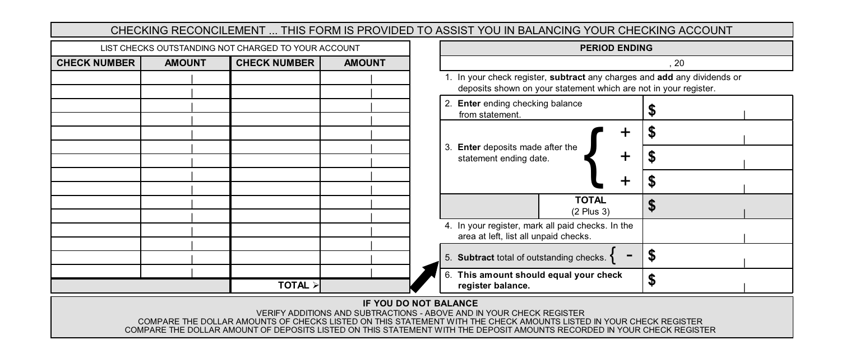|                                                                                                    |               |                     |               |  |                                                                                                                                              |                                          | CHECKING RECONCILEMENT  THIS FORM IS PROVIDED TO ASSIST YOU IN BALANCING YOUR CHECKING ACCOUNT |    |  |
|----------------------------------------------------------------------------------------------------|---------------|---------------------|---------------|--|----------------------------------------------------------------------------------------------------------------------------------------------|------------------------------------------|------------------------------------------------------------------------------------------------|----|--|
| LIST CHECKS OUTSTANDING NOT CHARGED TO YOUR ACCOUNT                                                |               |                     |               |  | <b>PERIOD ENDING</b>                                                                                                                         |                                          |                                                                                                |    |  |
| <b>CHECK NUMBER</b>                                                                                | <b>AMOUNT</b> | <b>CHECK NUMBER</b> | <b>AMOUNT</b> |  | , 20                                                                                                                                         |                                          |                                                                                                |    |  |
|                                                                                                    |               |                     |               |  | 1. In your check register, subtract any charges and add any dividends or<br>deposits shown on your statement which are not in your register. |                                          |                                                                                                |    |  |
|                                                                                                    |               |                     |               |  | 2. Enter ending checking balance<br>from statement.                                                                                          |                                          |                                                                                                |    |  |
|                                                                                                    |               |                     |               |  |                                                                                                                                              |                                          | ┿                                                                                              | \$ |  |
|                                                                                                    |               |                     |               |  | 3. Enter deposits made after the<br>statement ending date.<br>┿                                                                              |                                          |                                                                                                |    |  |
|                                                                                                    |               |                     |               |  |                                                                                                                                              |                                          |                                                                                                |    |  |
|                                                                                                    |               |                     |               |  |                                                                                                                                              |                                          | <b>TOTAL</b><br>$(2$ Plus $3)$                                                                 | \$ |  |
|                                                                                                    |               |                     |               |  | 4. In your register, mark all paid checks. In the<br>area at left, list all unpaid checks.                                                   |                                          |                                                                                                |    |  |
|                                                                                                    |               |                     |               |  |                                                                                                                                              | 5. Subtract total of outstanding checks. |                                                                                                | \$ |  |
|                                                                                                    |               | <b>TOTAL</b>        |               |  | This amount should equal your check<br>register balance.                                                                                     |                                          | \$                                                                                             |    |  |
| IF YOU DO NOT BALANCE<br>VEDEV ADDITIONS AND QUBTDA CTIONS<br>A BOUT AND IN VOLID OUT OU BE QUOTED |               |                     |               |  |                                                                                                                                              |                                          |                                                                                                |    |  |

VERIFY ADDITIONS AND SUBTRACTIONS - ABOVE AND IN YOUR CHECK REGISTER<br>COMPARE THE DOLLAR AMOUNTS OF CHECKS LISTED ON THIS STATEMENT WITH THE CHECK AMOUNTS LISTED IN YOUR CHECK REGISTER

COMPARE THE DOLLAR AMOUNT OF DEPOSITS LISTED ON THIS STATEMENT WITH THE DEPOSIT AMOUNTS RECORDED IN YOUR CHECK REGISTER